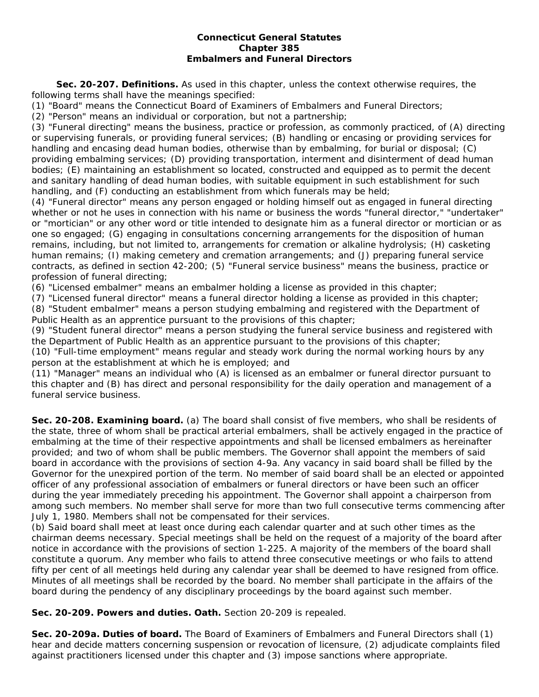#### **Connecticut General Statutes Chapter 385 Embalmers and Funeral Directors**

**Sec. 20-207. Definitions.** As used in this chapter, unless the context otherwise requires, the following terms shall have the meanings specified:

(1) "Board" means the Connecticut Board of Examiners of Embalmers and Funeral Directors;

(2) "Person" means an individual or corporation, but not a partnership;

(3) "Funeral directing" means the business, practice or profession, as commonly practiced, of (A) directing or supervising funerals, or providing funeral services; (B) handling or encasing or providing services for handling and encasing dead human bodies, otherwise than by embalming, for burial or disposal; (C) providing embalming services; (D) providing transportation, interment and disinterment of dead human bodies; (E) maintaining an establishment so located, constructed and equipped as to permit the decent and sanitary handling of dead human bodies, with suitable equipment in such establishment for such handling, and (F) conducting an establishment from which funerals may be held;

(4) "Funeral director" means any person engaged or holding himself out as engaged in funeral directing whether or not he uses in connection with his name or business the words "funeral director," "undertaker" or "mortician" or any other word or title intended to designate him as a funeral director or mortician or as one so engaged; (G) engaging in consultations concerning arrangements for the disposition of human remains, including, but not limited to, arrangements for cremation or alkaline hydrolysis; (H) casketing human remains; (I) making cemetery and cremation arrangements; and (J) preparing funeral service contracts, as defined in section 42-200; (5) "Funeral service business" means the business, practice or profession of funeral directing;

(6) "Licensed embalmer" means an embalmer holding a license as provided in this chapter;

(7) "Licensed funeral director" means a funeral director holding a license as provided in this chapter; (8) "Student embalmer" means a person studying embalming and registered with the Department of Public Health as an apprentice pursuant to the provisions of this chapter;

(9) "Student funeral director" means a person studying the funeral service business and registered with the Department of Public Health as an apprentice pursuant to the provisions of this chapter;

(10) "Full-time employment" means regular and steady work during the normal working hours by any person at the establishment at which he is employed; and

(11) "Manager" means an individual who (A) is licensed as an embalmer or funeral director pursuant to this chapter and (B) has direct and personal responsibility for the daily operation and management of a funeral service business.

**Sec. 20-208. Examining board.** (a) The board shall consist of five members, who shall be residents of the state, three of whom shall be practical arterial embalmers, shall be actively engaged in the practice of embalming at the time of their respective appointments and shall be licensed embalmers as hereinafter provided; and two of whom shall be public members. The Governor shall appoint the members of said board in accordance with the provisions of section 4-9a. Any vacancy in said board shall be filled by the Governor for the unexpired portion of the term. No member of said board shall be an elected or appointed officer of any professional association of embalmers or funeral directors or have been such an officer during the year immediately preceding his appointment. The Governor shall appoint a chairperson from among such members. No member shall serve for more than two full consecutive terms commencing after July 1, 1980. Members shall not be compensated for their services.

(b) Said board shall meet at least once during each calendar quarter and at such other times as the chairman deems necessary. Special meetings shall be held on the request of a majority of the board after notice in accordance with the provisions of section 1-225. A majority of the members of the board shall constitute a quorum. Any member who fails to attend three consecutive meetings or who fails to attend fifty per cent of all meetings held during any calendar year shall be deemed to have resigned from office. Minutes of all meetings shall be recorded by the board. No member shall participate in the affairs of the board during the pendency of any disciplinary proceedings by the board against such member.

**Sec. 20-209. Powers and duties. Oath.** Section 20-209 is repealed.

**Sec. 20-209a. Duties of board.** The Board of Examiners of Embalmers and Funeral Directors shall (1) hear and decide matters concerning suspension or revocation of licensure, (2) adjudicate complaints filed against practitioners licensed under this chapter and (3) impose sanctions where appropriate.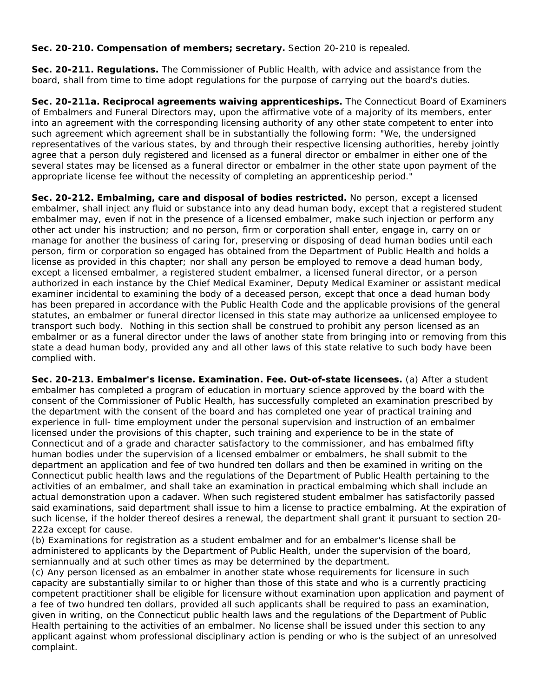## **Sec. 20-210. Compensation of members; secretary.** Section 20-210 is repealed.

**Sec. 20-211. Regulations.** The Commissioner of Public Health, with advice and assistance from the board, shall from time to time adopt regulations for the purpose of carrying out the board's duties.

**Sec. 20-211a. Reciprocal agreements waiving apprenticeships.** The Connecticut Board of Examiners of Embalmers and Funeral Directors may, upon the affirmative vote of a majority of its members, enter into an agreement with the corresponding licensing authority of any other state competent to enter into such agreement which agreement shall be in substantially the following form: "We, the undersigned representatives of the various states, by and through their respective licensing authorities, hereby jointly agree that a person duly registered and licensed as a funeral director or embalmer in either one of the several states may be licensed as a funeral director or embalmer in the other state upon payment of the appropriate license fee without the necessity of completing an apprenticeship period."

**Sec. 20-212. Embalming, care and disposal of bodies restricted.** No person, except a licensed embalmer, shall inject any fluid or substance into any dead human body, except that a registered student embalmer may, even if not in the presence of a licensed embalmer, make such injection or perform any other act under his instruction; and no person, firm or corporation shall enter, engage in, carry on or manage for another the business of caring for, preserving or disposing of dead human bodies until each person, firm or corporation so engaged has obtained from the Department of Public Health and holds a license as provided in this chapter; nor shall any person be employed to remove a dead human body, except a licensed embalmer, a registered student embalmer, a licensed funeral director, or a person authorized in each instance by the Chief Medical Examiner, Deputy Medical Examiner or assistant medical examiner incidental to examining the body of a deceased person, except that once a dead human body has been prepared in accordance with the Public Health Code and the applicable provisions of the general statutes, an embalmer or funeral director licensed in this state may authorize aa unlicensed employee to transport such body. Nothing in this section shall be construed to prohibit any person licensed as an embalmer or as a funeral director under the laws of another state from bringing into or removing from this state a dead human body, provided any and all other laws of this state relative to such body have been complied with.

**Sec. 20-213. Embalmer's license. Examination. Fee. Out-of-state licensees.** (a) After a student embalmer has completed a program of education in mortuary science approved by the board with the consent of the Commissioner of Public Health, has successfully completed an examination prescribed by the department with the consent of the board and has completed one year of practical training and experience in full- time employment under the personal supervision and instruction of an embalmer licensed under the provisions of this chapter, such training and experience to be in the state of Connecticut and of a grade and character satisfactory to the commissioner, and has embalmed fifty human bodies under the supervision of a licensed embalmer or embalmers, he shall submit to the department an application and fee of two hundred ten dollars and then be examined in writing on the Connecticut public health laws and the regulations of the Department of Public Health pertaining to the activities of an embalmer, and shall take an examination in practical embalming which shall include an actual demonstration upon a cadaver. When such registered student embalmer has satisfactorily passed said examinations, said department shall issue to him a license to practice embalming. At the expiration of such license, if the holder thereof desires a renewal, the department shall grant it pursuant to section 20- 222a except for cause.

(b) Examinations for registration as a student embalmer and for an embalmer's license shall be administered to applicants by the Department of Public Health, under the supervision of the board, semiannually and at such other times as may be determined by the department.

(c) Any person licensed as an embalmer in another state whose requirements for licensure in such capacity are substantially similar to or higher than those of this state and who is a currently practicing competent practitioner shall be eligible for licensure without examination upon application and payment of a fee of two hundred ten dollars, provided all such applicants shall be required to pass an examination, given in writing, on the Connecticut public health laws and the regulations of the Department of Public Health pertaining to the activities of an embalmer. No license shall be issued under this section to any applicant against whom professional disciplinary action is pending or who is the subject of an unresolved complaint.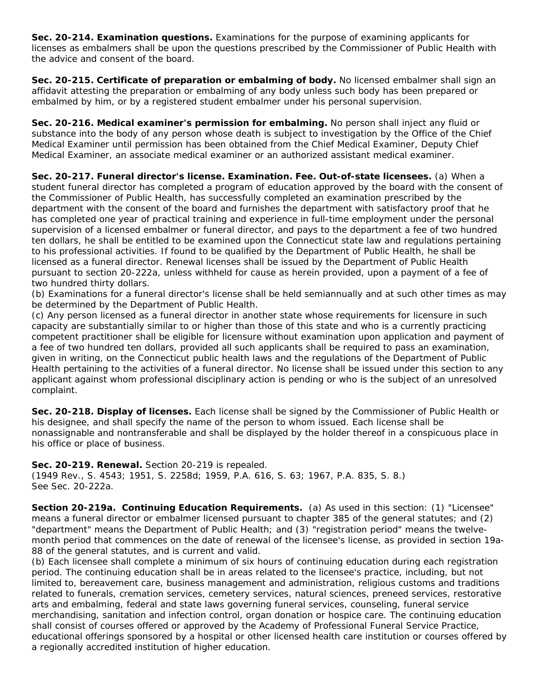**Sec. 20-214. Examination questions.** Examinations for the purpose of examining applicants for licenses as embalmers shall be upon the questions prescribed by the Commissioner of Public Health with the advice and consent of the board.

**Sec. 20-215. Certificate of preparation or embalming of body.** No licensed embalmer shall sign an affidavit attesting the preparation or embalming of any body unless such body has been prepared or embalmed by him, or by a registered student embalmer under his personal supervision.

**Sec. 20-216. Medical examiner's permission for embalming.** No person shall inject any fluid or substance into the body of any person whose death is subject to investigation by the Office of the Chief Medical Examiner until permission has been obtained from the Chief Medical Examiner, Deputy Chief Medical Examiner, an associate medical examiner or an authorized assistant medical examiner.

**Sec. 20-217. Funeral director's license. Examination. Fee. Out-of-state licensees.** (a) When a student funeral director has completed a program of education approved by the board with the consent of the Commissioner of Public Health, has successfully completed an examination prescribed by the department with the consent of the board and furnishes the department with satisfactory proof that he has completed one year of practical training and experience in full-time employment under the personal supervision of a licensed embalmer or funeral director, and pays to the department a fee of two hundred ten dollars, he shall be entitled to be examined upon the Connecticut state law and regulations pertaining to his professional activities. If found to be qualified by the Department of Public Health, he shall be licensed as a funeral director. Renewal licenses shall be issued by the Department of Public Health pursuant to section 20-222a, unless withheld for cause as herein provided, upon a payment of a fee of two hundred thirty dollars.

(b) Examinations for a funeral director's license shall be held semiannually and at such other times as may be determined by the Department of Public Health.

(c) Any person licensed as a funeral director in another state whose requirements for licensure in such capacity are substantially similar to or higher than those of this state and who is a currently practicing competent practitioner shall be eligible for licensure without examination upon application and payment of a fee of two hundred ten dollars, provided all such applicants shall be required to pass an examination, given in writing, on the Connecticut public health laws and the regulations of the Department of Public Health pertaining to the activities of a funeral director. No license shall be issued under this section to any applicant against whom professional disciplinary action is pending or who is the subject of an unresolved complaint.

**Sec. 20-218. Display of licenses.** Each license shall be signed by the Commissioner of Public Health or his designee, and shall specify the name of the person to whom issued. Each license shall be nonassignable and nontransferable and shall be displayed by the holder thereof in a conspicuous place in his office or place of business.

**Sec. 20-219. Renewal.** Section 20-219 is repealed. (1949 Rev., S. 4543; 1951, S. 2258d; 1959, P.A. 616, S. 63; 1967, P.A. 835, S. 8.) See Sec. 20-222a.

**Section 20-219a. Continuing Education Requirements.** (a) As used in this section: (1) "Licensee" means a funeral director or embalmer licensed pursuant to chapter 385 of the general statutes; and (2) "department" means the Department of Public Health; and (3) "registration period" means the twelvemonth period that commences on the date of renewal of the licensee's license, as provided in section 19a-88 of the general statutes, and is current and valid.

(b) Each licensee shall complete a minimum of six hours of continuing education during each registration period. The continuing education shall be in areas related to the licensee's practice, including, but not limited to, bereavement care, business management and administration, religious customs and traditions related to funerals, cremation services, cemetery services, natural sciences, preneed services, restorative arts and embalming, federal and state laws governing funeral services, counseling, funeral service merchandising, sanitation and infection control, organ donation or hospice care. The continuing education shall consist of courses offered or approved by the Academy of Professional Funeral Service Practice, educational offerings sponsored by a hospital or other licensed health care institution or courses offered by a regionally accredited institution of higher education.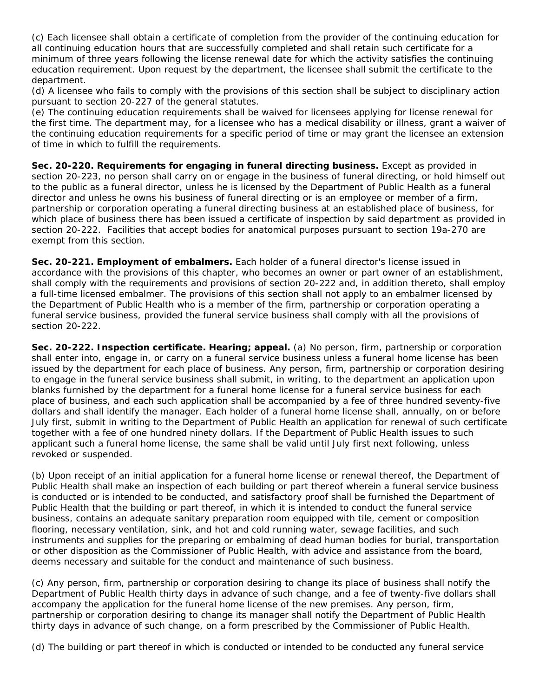(c) Each licensee shall obtain a certificate of completion from the provider of the continuing education for all continuing education hours that are successfully completed and shall retain such certificate for a minimum of three years following the license renewal date for which the activity satisfies the continuing education requirement. Upon request by the department, the licensee shall submit the certificate to the department.

(d) A licensee who fails to comply with the provisions of this section shall be subject to disciplinary action pursuant to section 20-227 of the general statutes.

(e) The continuing education requirements shall be waived for licensees applying for license renewal for the first time. The department may, for a licensee who has a medical disability or illness, grant a waiver of the continuing education requirements for a specific period of time or may grant the licensee an extension of time in which to fulfill the requirements.

**Sec. 20-220. Requirements for engaging in funeral directing business.** Except as provided in section 20-223, no person shall carry on or engage in the business of funeral directing, or hold himself out to the public as a funeral director, unless he is licensed by the Department of Public Health as a funeral director and unless he owns his business of funeral directing or is an employee or member of a firm, partnership or corporation operating a funeral directing business at an established place of business, for which place of business there has been issued a certificate of inspection by said department as provided in section 20-222. Facilities that accept bodies for anatomical purposes pursuant to section 19a-270 are exempt from this section.

**Sec. 20-221. Employment of embalmers.** Each holder of a funeral director's license issued in accordance with the provisions of this chapter, who becomes an owner or part owner of an establishment, shall comply with the requirements and provisions of section 20-222 and, in addition thereto, shall employ a full-time licensed embalmer. The provisions of this section shall not apply to an embalmer licensed by the Department of Public Health who is a member of the firm, partnership or corporation operating a funeral service business, provided the funeral service business shall comply with all the provisions of section 20-222.

**Sec. 20-222. Inspection certificate. Hearing; appeal.** (a) No person, firm, partnership or corporation shall enter into, engage in, or carry on a funeral service business unless a funeral home license has been issued by the department for each place of business. Any person, firm, partnership or corporation desiring to engage in the funeral service business shall submit, in writing, to the department an application upon blanks furnished by the department for a funeral home license for a funeral service business for each place of business, and each such application shall be accompanied by a fee of three hundred seventy-five dollars and shall identify the manager. Each holder of a funeral home license shall, annually, on or before July first, submit in writing to the Department of Public Health an application for renewal of such certificate together with a fee of one hundred ninety dollars. If the Department of Public Health issues to such applicant such a funeral home license, the same shall be valid until July first next following, unless revoked or suspended.

(b) Upon receipt of an initial application for a funeral home license or renewal thereof, the Department of Public Health shall make an inspection of each building or part thereof wherein a funeral service business is conducted or is intended to be conducted, and satisfactory proof shall be furnished the Department of Public Health that the building or part thereof, in which it is intended to conduct the funeral service business, contains an adequate sanitary preparation room equipped with tile, cement or composition flooring, necessary ventilation, sink, and hot and cold running water, sewage facilities, and such instruments and supplies for the preparing or embalming of dead human bodies for burial, transportation or other disposition as the Commissioner of Public Health, with advice and assistance from the board, deems necessary and suitable for the conduct and maintenance of such business.

(c) Any person, firm, partnership or corporation desiring to change its place of business shall notify the Department of Public Health thirty days in advance of such change, and a fee of twenty-five dollars shall accompany the application for the funeral home license of the new premises. Any person, firm, partnership or corporation desiring to change its manager shall notify the Department of Public Health thirty days in advance of such change, on a form prescribed by the Commissioner of Public Health.

(d) The building or part thereof in which is conducted or intended to be conducted any funeral service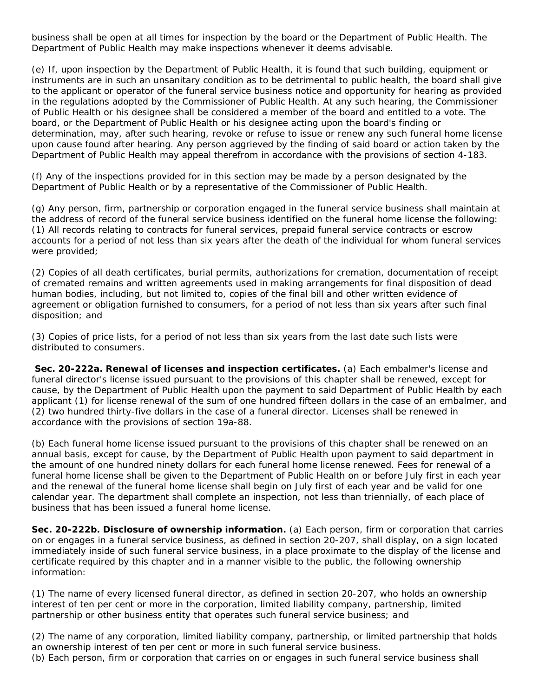business shall be open at all times for inspection by the board or the Department of Public Health. The Department of Public Health may make inspections whenever it deems advisable.

(e) If, upon inspection by the Department of Public Health, it is found that such building, equipment or instruments are in such an unsanitary condition as to be detrimental to public health, the board shall give to the applicant or operator of the funeral service business notice and opportunity for hearing as provided in the regulations adopted by the Commissioner of Public Health. At any such hearing, the Commissioner of Public Health or his designee shall be considered a member of the board and entitled to a vote. The board, or the Department of Public Health or his designee acting upon the board's finding or determination, may, after such hearing, revoke or refuse to issue or renew any such funeral home license upon cause found after hearing. Any person aggrieved by the finding of said board or action taken by the Department of Public Health may appeal therefrom in accordance with the provisions of section 4-183.

(f) Any of the inspections provided for in this section may be made by a person designated by the Department of Public Health or by a representative of the Commissioner of Public Health.

(g) Any person, firm, partnership or corporation engaged in the funeral service business shall maintain at the address of record of the funeral service business identified on the funeral home license the following: (1) All records relating to contracts for funeral services, prepaid funeral service contracts or escrow accounts for a period of not less than six years after the death of the individual for whom funeral services were provided;

(2) Copies of all death certificates, burial permits, authorizations for cremation, documentation of receipt of cremated remains and written agreements used in making arrangements for final disposition of dead human bodies, including, but not limited to, copies of the final bill and other written evidence of agreement or obligation furnished to consumers, for a period of not less than six years after such final disposition; and

(3) Copies of price lists, for a period of not less than six years from the last date such lists were distributed to consumers.

**Sec. 20-222a. Renewal of licenses and inspection certificates.** (a) Each embalmer's license and funeral director's license issued pursuant to the provisions of this chapter shall be renewed, except for cause, by the Department of Public Health upon the payment to said Department of Public Health by each applicant (1) for license renewal of the sum of one hundred fifteen dollars in the case of an embalmer, and (2) two hundred thirty-five dollars in the case of a funeral director. Licenses shall be renewed in accordance with the provisions of section 19a-88.

(b) Each funeral home license issued pursuant to the provisions of this chapter shall be renewed on an annual basis, except for cause, by the Department of Public Health upon payment to said department in the amount of one hundred ninety dollars for each funeral home license renewed. Fees for renewal of a funeral home license shall be given to the Department of Public Health on or before July first in each year and the renewal of the funeral home license shall begin on July first of each year and be valid for one calendar year. The department shall complete an inspection, not less than triennially, of each place of business that has been issued a funeral home license.

**Sec. 20-222b. Disclosure of ownership information.** (a) Each person, firm or corporation that carries on or engages in a funeral service business, as defined in section 20-207, shall display, on a sign located immediately inside of such funeral service business, in a place proximate to the display of the license and certificate required by this chapter and in a manner visible to the public, the following ownership information:

(1) The name of every licensed funeral director, as defined in section 20-207, who holds an ownership interest of ten per cent or more in the corporation, limited liability company, partnership, limited partnership or other business entity that operates such funeral service business; and

(2) The name of any corporation, limited liability company, partnership, or limited partnership that holds an ownership interest of ten per cent or more in such funeral service business.

(b) Each person, firm or corporation that carries on or engages in such funeral service business shall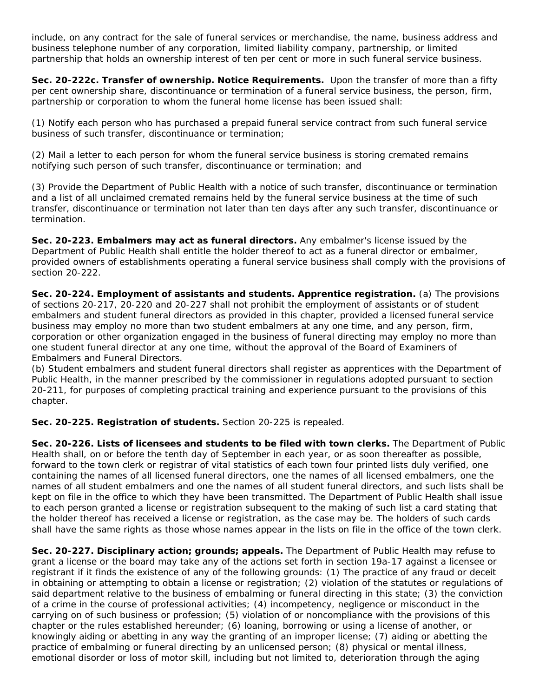include, on any contract for the sale of funeral services or merchandise, the name, business address and business telephone number of any corporation, limited liability company, partnership, or limited partnership that holds an ownership interest of ten per cent or more in such funeral service business.

**Sec. 20-222c. Transfer of ownership. Notice Requirements.** Upon the transfer of more than a fifty per cent ownership share, discontinuance or termination of a funeral service business, the person, firm, partnership or corporation to whom the funeral home license has been issued shall:

(1) Notify each person who has purchased a prepaid funeral service contract from such funeral service business of such transfer, discontinuance or termination;

(2) Mail a letter to each person for whom the funeral service business is storing cremated remains notifying such person of such transfer, discontinuance or termination; and

(3) Provide the Department of Public Health with a notice of such transfer, discontinuance or termination and a list of all unclaimed cremated remains held by the funeral service business at the time of such transfer, discontinuance or termination not later than ten days after any such transfer, discontinuance or termination.

**Sec. 20-223. Embalmers may act as funeral directors.** Any embalmer's license issued by the Department of Public Health shall entitle the holder thereof to act as a funeral director or embalmer, provided owners of establishments operating a funeral service business shall comply with the provisions of section 20-222.

**Sec. 20-224. Employment of assistants and students. Apprentice registration.** (a) The provisions of sections 20-217, 20-220 and 20-227 shall not prohibit the employment of assistants or of student embalmers and student funeral directors as provided in this chapter, provided a licensed funeral service business may employ no more than two student embalmers at any one time, and any person, firm, corporation or other organization engaged in the business of funeral directing may employ no more than one student funeral director at any one time, without the approval of the Board of Examiners of Embalmers and Funeral Directors.

(b) Student embalmers and student funeral directors shall register as apprentices with the Department of Public Health, in the manner prescribed by the commissioner in regulations adopted pursuant to section 20-211, for purposes of completing practical training and experience pursuant to the provisions of this chapter.

**Sec. 20-225. Registration of students.** Section 20-225 is repealed.

**Sec. 20-226. Lists of licensees and students to be filed with town clerks.** The Department of Public Health shall, on or before the tenth day of September in each year, or as soon thereafter as possible, forward to the town clerk or registrar of vital statistics of each town four printed lists duly verified, one containing the names of all licensed funeral directors, one the names of all licensed embalmers, one the names of all student embalmers and one the names of all student funeral directors, and such lists shall be kept on file in the office to which they have been transmitted. The Department of Public Health shall issue to each person granted a license or registration subsequent to the making of such list a card stating that the holder thereof has received a license or registration, as the case may be. The holders of such cards shall have the same rights as those whose names appear in the lists on file in the office of the town clerk.

**Sec. 20-227. Disciplinary action; grounds; appeals.** The Department of Public Health may refuse to grant a license or the board may take any of the actions set forth in section 19a-17 against a licensee or registrant if it finds the existence of any of the following grounds: (1) The practice of any fraud or deceit in obtaining or attempting to obtain a license or registration; (2) violation of the statutes or regulations of said department relative to the business of embalming or funeral directing in this state; (3) the conviction of a crime in the course of professional activities; (4) incompetency, negligence or misconduct in the carrying on of such business or profession; (5) violation of or noncompliance with the provisions of this chapter or the rules established hereunder; (6) loaning, borrowing or using a license of another, or knowingly aiding or abetting in any way the granting of an improper license; (7) aiding or abetting the practice of embalming or funeral directing by an unlicensed person; (8) physical or mental illness, emotional disorder or loss of motor skill, including but not limited to, deterioration through the aging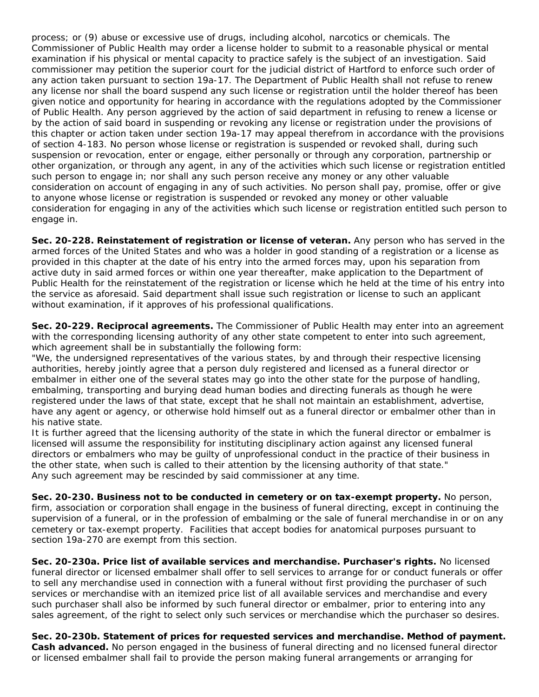process; or (9) abuse or excessive use of drugs, including alcohol, narcotics or chemicals. The Commissioner of Public Health may order a license holder to submit to a reasonable physical or mental examination if his physical or mental capacity to practice safely is the subject of an investigation. Said commissioner may petition the superior court for the judicial district of Hartford to enforce such order of any action taken pursuant to section 19a-17. The Department of Public Health shall not refuse to renew any license nor shall the board suspend any such license or registration until the holder thereof has been given notice and opportunity for hearing in accordance with the regulations adopted by the Commissioner of Public Health. Any person aggrieved by the action of said department in refusing to renew a license or by the action of said board in suspending or revoking any license or registration under the provisions of this chapter or action taken under section 19a-17 may appeal therefrom in accordance with the provisions of section 4-183. No person whose license or registration is suspended or revoked shall, during such suspension or revocation, enter or engage, either personally or through any corporation, partnership or other organization, or through any agent, in any of the activities which such license or registration entitled such person to engage in; nor shall any such person receive any money or any other valuable consideration on account of engaging in any of such activities. No person shall pay, promise, offer or give to anyone whose license or registration is suspended or revoked any money or other valuable consideration for engaging in any of the activities which such license or registration entitled such person to engage in.

**Sec. 20-228. Reinstatement of registration or license of veteran.** Any person who has served in the armed forces of the United States and who was a holder in good standing of a registration or a license as provided in this chapter at the date of his entry into the armed forces may, upon his separation from active duty in said armed forces or within one year thereafter, make application to the Department of Public Health for the reinstatement of the registration or license which he held at the time of his entry into the service as aforesaid. Said department shall issue such registration or license to such an applicant without examination, if it approves of his professional qualifications.

**Sec. 20-229. Reciprocal agreements.** The Commissioner of Public Health may enter into an agreement with the corresponding licensing authority of any other state competent to enter into such agreement, which agreement shall be in substantially the following form:

"We, the undersigned representatives of the various states, by and through their respective licensing authorities, hereby jointly agree that a person duly registered and licensed as a funeral director or embalmer in either one of the several states may go into the other state for the purpose of handling, embalming, transporting and burying dead human bodies and directing funerals as though he were registered under the laws of that state, except that he shall not maintain an establishment, advertise, have any agent or agency, or otherwise hold himself out as a funeral director or embalmer other than in his native state.

It is further agreed that the licensing authority of the state in which the funeral director or embalmer is licensed will assume the responsibility for instituting disciplinary action against any licensed funeral directors or embalmers who may be guilty of unprofessional conduct in the practice of their business in the other state, when such is called to their attention by the licensing authority of that state." Any such agreement may be rescinded by said commissioner at any time.

**Sec. 20-230. Business not to be conducted in cemetery or on tax-exempt property.** No person, firm, association or corporation shall engage in the business of funeral directing, except in continuing the supervision of a funeral, or in the profession of embalming or the sale of funeral merchandise in or on any cemetery or tax-exempt property. Facilities that accept bodies for anatomical purposes pursuant to section 19a-270 are exempt from this section.

**Sec. 20-230a. Price list of available services and merchandise. Purchaser's rights.** No licensed funeral director or licensed embalmer shall offer to sell services to arrange for or conduct funerals or offer to sell any merchandise used in connection with a funeral without first providing the purchaser of such services or merchandise with an itemized price list of all available services and merchandise and every such purchaser shall also be informed by such funeral director or embalmer, prior to entering into any sales agreement, of the right to select only such services or merchandise which the purchaser so desires.

**Sec. 20-230b. Statement of prices for requested services and merchandise. Method of payment. Cash advanced.** No person engaged in the business of funeral directing and no licensed funeral director or licensed embalmer shall fail to provide the person making funeral arrangements or arranging for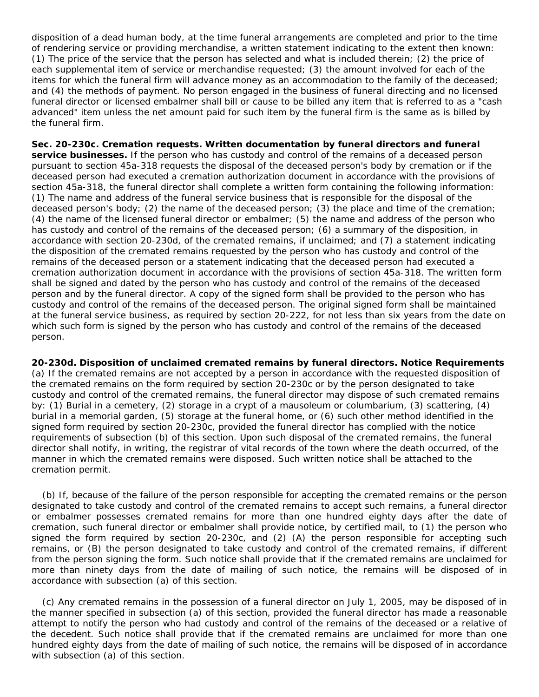disposition of a dead human body, at the time funeral arrangements are completed and prior to the time of rendering service or providing merchandise, a written statement indicating to the extent then known: (1) The price of the service that the person has selected and what is included therein; (2) the price of each supplemental item of service or merchandise requested; (3) the amount involved for each of the items for which the funeral firm will advance money as an accommodation to the family of the deceased; and (4) the methods of payment. No person engaged in the business of funeral directing and no licensed funeral director or licensed embalmer shall bill or cause to be billed any item that is referred to as a "cash advanced" item unless the net amount paid for such item by the funeral firm is the same as is billed by the funeral firm.

**Sec. 20-230c. Cremation requests. Written documentation by funeral directors and funeral service businesses.** If the person who has custody and control of the remains of a deceased person pursuant to section 45a-318 requests the disposal of the deceased person's body by cremation or if the deceased person had executed a cremation authorization document in accordance with the provisions of section 45a-318, the funeral director shall complete a written form containing the following information: (1) The name and address of the funeral service business that is responsible for the disposal of the deceased person's body; (2) the name of the deceased person; (3) the place and time of the cremation; (4) the name of the licensed funeral director or embalmer; (5) the name and address of the person who has custody and control of the remains of the deceased person; (6) a summary of the disposition, in accordance with section 20-230d, of the cremated remains, if unclaimed; and (7) a statement indicating the disposition of the cremated remains requested by the person who has custody and control of the remains of the deceased person or a statement indicating that the deceased person had executed a cremation authorization document in accordance with the provisions of section 45a-318. The written form shall be signed and dated by the person who has custody and control of the remains of the deceased person and by the funeral director. A copy of the signed form shall be provided to the person who has custody and control of the remains of the deceased person. The original signed form shall be maintained at the funeral service business, as required by section 20-222, for not less than six years from the date on which such form is signed by the person who has custody and control of the remains of the deceased person.

**20-230d. Disposition of unclaimed cremated remains by funeral directors. Notice Requirements** (a) If the cremated remains are not accepted by a person in accordance with the requested disposition of the cremated remains on the form required by section 20-230c or by the person designated to take custody and control of the cremated remains, the funeral director may dispose of such cremated remains by: (1) Burial in a cemetery, (2) storage in a crypt of a mausoleum or columbarium, (3) scattering, (4) burial in a memorial garden, (5) storage at the funeral home, or (6) such other method identified in the signed form required by section 20-230c, provided the funeral director has complied with the notice requirements of subsection (b) of this section. Upon such disposal of the cremated remains, the funeral director shall notify, in writing, the registrar of vital records of the town where the death occurred, of the manner in which the cremated remains were disposed. Such written notice shall be attached to the cremation permit.

(b) If, because of the failure of the person responsible for accepting the cremated remains or the person designated to take custody and control of the cremated remains to accept such remains, a funeral director or embalmer possesses cremated remains for more than one hundred eighty days after the date of cremation, such funeral director or embalmer shall provide notice, by certified mail, to (1) the person who signed the form required by section 20-230c, and (2) (A) the person responsible for accepting such remains, or (B) the person designated to take custody and control of the cremated remains, if different from the person signing the form. Such notice shall provide that if the cremated remains are unclaimed for more than ninety days from the date of mailing of such notice, the remains will be disposed of in accordance with subsection (a) of this section.

(c) Any cremated remains in the possession of a funeral director on July 1, 2005, may be disposed of in the manner specified in subsection (a) of this section, provided the funeral director has made a reasonable attempt to notify the person who had custody and control of the remains of the deceased or a relative of the decedent. Such notice shall provide that if the cremated remains are unclaimed for more than one hundred eighty days from the date of mailing of such notice, the remains will be disposed of in accordance with subsection (a) of this section.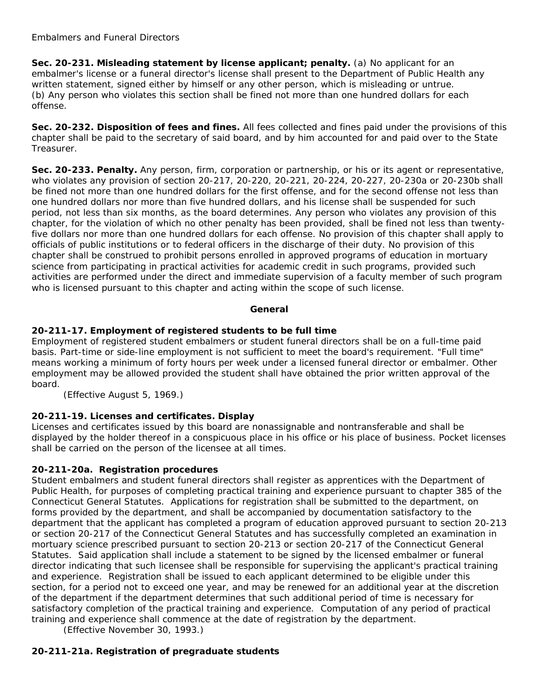**Sec. 20-231. Misleading statement by license applicant; penalty.** (a) No applicant for an embalmer's license or a funeral director's license shall present to the Department of Public Health any written statement, signed either by himself or any other person, which is misleading or untrue. (b) Any person who violates this section shall be fined not more than one hundred dollars for each offense.

**Sec. 20-232. Disposition of fees and fines.** All fees collected and fines paid under the provisions of this chapter shall be paid to the secretary of said board, and by him accounted for and paid over to the State Treasurer.

**Sec. 20-233. Penalty.** Any person, firm, corporation or partnership, or his or its agent or representative, who violates any provision of section 20-217, 20-220, 20-221, 20-224, 20-227, 20-230a or 20-230b shall be fined not more than one hundred dollars for the first offense, and for the second offense not less than one hundred dollars nor more than five hundred dollars, and his license shall be suspended for such period, not less than six months, as the board determines. Any person who violates any provision of this chapter, for the violation of which no other penalty has been provided, shall be fined not less than twentyfive dollars nor more than one hundred dollars for each offense. No provision of this chapter shall apply to officials of public institutions or to federal officers in the discharge of their duty. No provision of this chapter shall be construed to prohibit persons enrolled in approved programs of education in mortuary science from participating in practical activities for academic credit in such programs, provided such activities are performed under the direct and immediate supervision of a faculty member of such program who is licensed pursuant to this chapter and acting within the scope of such license.

## **General**

# **20-211-17. Employment of registered students to be full time**

Employment of registered student embalmers or student funeral directors shall be on a full-time paid basis. Part-time or side-line employment is not sufficient to meet the board's requirement. "Full time" means working a minimum of forty hours per week under a licensed funeral director or embalmer. Other employment may be allowed provided the student shall have obtained the prior written approval of the board.

(Effective August 5, 1969.)

# **20-211-19. Licenses and certificates. Display**

Licenses and certificates issued by this board are nonassignable and nontransferable and shall be displayed by the holder thereof in a conspicuous place in his office or his place of business. Pocket licenses shall be carried on the person of the licensee at all times.

# **20-211-20a. Registration procedures**

Student embalmers and student funeral directors shall register as apprentices with the Department of Public Health, for purposes of completing practical training and experience pursuant to chapter 385 of the Connecticut General Statutes. Applications for registration shall be submitted to the department, on forms provided by the department, and shall be accompanied by documentation satisfactory to the department that the applicant has completed a program of education approved pursuant to section 20-213 or section 20-217 of the Connecticut General Statutes and has successfully completed an examination in mortuary science prescribed pursuant to section 20-213 or section 20-217 of the Connecticut General Statutes. Said application shall include a statement to be signed by the licensed embalmer or funeral director indicating that such licensee shall be responsible for supervising the applicant's practical training and experience. Registration shall be issued to each applicant determined to be eligible under this section, for a period not to exceed one year, and may be renewed for an additional year at the discretion of the department if the department determines that such additional period of time is necessary for satisfactory completion of the practical training and experience. Computation of any period of practical training and experience shall commence at the date of registration by the department.

(Effective November 30, 1993.)

# **20-211-21a. Registration of pregraduate students**